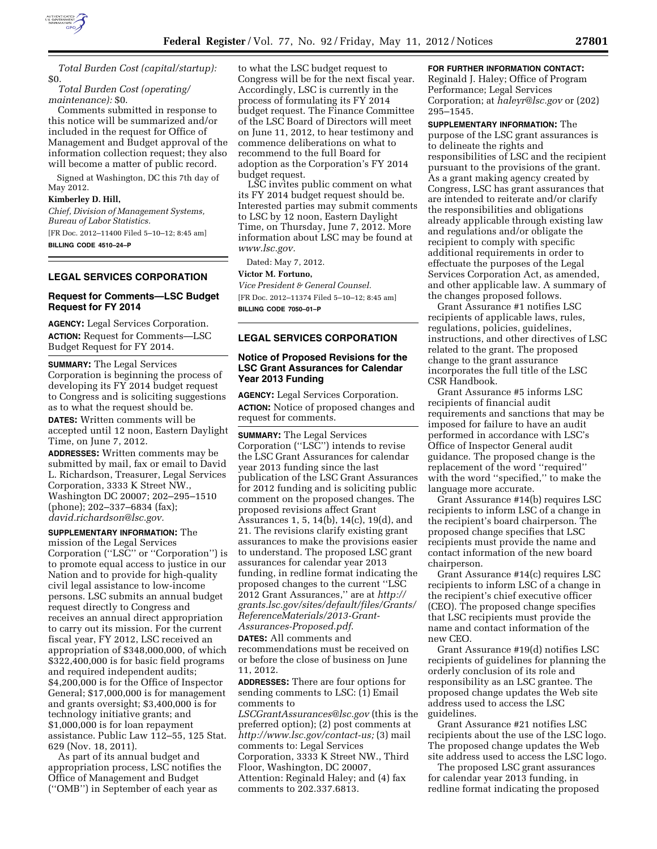

*Total Burden Cost (capital/startup):*  \$0.

*Total Burden Cost (operating/ maintenance):* \$0.

Comments submitted in response to this notice will be summarized and/or included in the request for Office of Management and Budget approval of the information collection request; they also will become a matter of public record.

Signed at Washington, DC this 7th day of May 2012.

### **Kimberley D. Hill,**

*Chief, Division of Management Systems, Bureau of Labor Statistics.* 

[FR Doc. 2012–11400 Filed 5–10–12; 8:45 am] **BILLING CODE 4510–24–P** 

# **LEGAL SERVICES CORPORATION**

## **Request for Comments—LSC Budget Request for FY 2014**

**AGENCY:** Legal Services Corporation. **ACTION:** Request for Comments—LSC Budget Request for FY 2014.

**SUMMARY:** The Legal Services Corporation is beginning the process of developing its FY 2014 budget request to Congress and is soliciting suggestions as to what the request should be. **DATES:** Written comments will be accepted until 12 noon, Eastern Daylight Time, on June 7, 2012.

**ADDRESSES:** Written comments may be submitted by mail, fax or email to David L. Richardson, Treasurer, Legal Services Corporation, 3333 K Street NW., Washington DC 20007; 202–295–1510 (phone); 202–337–6834 (fax); *[david.richardson@lsc.gov.](mailto:david.richardson@lsc.gov)* 

**SUPPLEMENTARY INFORMATION:** The mission of the Legal Services Corporation (''LSC'' or ''Corporation'') is to promote equal access to justice in our Nation and to provide for high-quality civil legal assistance to low-income persons. LSC submits an annual budget request directly to Congress and receives an annual direct appropriation to carry out its mission. For the current fiscal year, FY 2012, LSC received an appropriation of \$348,000,000, of which \$322,400,000 is for basic field programs and required independent audits; \$4,200,000 is for the Office of Inspector General; \$17,000,000 is for management and grants oversight; \$3,400,000 is for technology initiative grants; and \$1,000,000 is for loan repayment assistance. Public Law 112–55, 125 Stat. 629 (Nov. 18, 2011).

As part of its annual budget and appropriation process, LSC notifies the Office of Management and Budget (''OMB'') in September of each year as

to what the LSC budget request to Congress will be for the next fiscal year. Accordingly, LSC is currently in the process of formulating its FY 2014 budget request. The Finance Committee of the LSC Board of Directors will meet on June 11, 2012, to hear testimony and commence deliberations on what to recommend to the full Board for adoption as the Corporation's FY 2014 budget request.

LSC invites public comment on what its FY 2014 budget request should be. Interested parties may submit comments to LSC by 12 noon, Eastern Daylight Time, on Thursday, June 7, 2012. More information about LSC may be found at *[www.lsc.gov.](http://www.lsc.gov)* 

Dated: May 7, 2012.

#### **Victor M. Fortuno,**

*Vice President & General Counsel.*  [FR Doc. 2012–11374 Filed 5–10–12; 8:45 am] **BILLING CODE 7050–01–P** 

### **LEGAL SERVICES CORPORATION**

# **Notice of Proposed Revisions for the LSC Grant Assurances for Calendar Year 2013 Funding**

**AGENCY:** Legal Services Corporation. **ACTION:** Notice of proposed changes and request for comments.

**SUMMARY:** The Legal Services Corporation (''LSC'') intends to revise the LSC Grant Assurances for calendar year 2013 funding since the last publication of the LSC Grant Assurances for 2012 funding and is soliciting public comment on the proposed changes. The proposed revisions affect Grant Assurances 1, 5, 14(b), 14(c), 19(d), and 21. The revisions clarify existing grant assurances to make the provisions easier to understand. The proposed LSC grant assurances for calendar year 2013 funding, in redline format indicating the proposed changes to the current ''LSC 2012 Grant Assurances,'' are at *[http://](http://grants.lsc.gov/sites/default/files/Grants/ReferenceMaterials/2013-Grant-Assurances-Proposed.pdf) [grants.lsc.gov/sites/default/files/Grants/](http://grants.lsc.gov/sites/default/files/Grants/ReferenceMaterials/2013-Grant-Assurances-Proposed.pdf)  [ReferenceMaterials/2013-Grant-](http://grants.lsc.gov/sites/default/files/Grants/ReferenceMaterials/2013-Grant-Assurances-Proposed.pdf)[Assurances-Proposed.pdf](http://grants.lsc.gov/sites/default/files/Grants/ReferenceMaterials/2013-Grant-Assurances-Proposed.pdf)*.

**DATES:** All comments and recommendations must be received on or before the close of business on June 11, 2012.

**ADDRESSES:** There are four options for sending comments to LSC: (1) Email comments to

*[LSCGrantAssurances@lsc.gov](mailto:LSCGrantAssurances@lsc.gov)* (this is the preferred option); (2) post comments at *[http://www.lsc.gov/contact-us;](http://www.lsc.gov/contact-us)* (3) mail comments to: Legal Services Corporation, 3333 K Street NW., Third Floor, Washington, DC 20007, Attention: Reginald Haley; and (4) fax comments to 202.337.6813.

# **FOR FURTHER INFORMATION CONTACT:**

Reginald J. Haley; Office of Program Performance; Legal Services Corporation; at *[haleyr@lsc.gov](mailto:haleyr@lsc.gov)* or (202) 295–1545.

**SUPPLEMENTARY INFORMATION:** The purpose of the LSC grant assurances is to delineate the rights and responsibilities of LSC and the recipient pursuant to the provisions of the grant. As a grant making agency created by Congress, LSC has grant assurances that are intended to reiterate and/or clarify the responsibilities and obligations already applicable through existing law and regulations and/or obligate the recipient to comply with specific additional requirements in order to effectuate the purposes of the Legal Services Corporation Act, as amended, and other applicable law. A summary of the changes proposed follows.

Grant Assurance #1 notifies LSC recipients of applicable laws, rules, regulations, policies, guidelines, instructions, and other directives of LSC related to the grant. The proposed change to the grant assurance incorporates the full title of the LSC CSR Handbook.

Grant Assurance #5 informs LSC recipients of financial audit requirements and sanctions that may be imposed for failure to have an audit performed in accordance with LSC's Office of Inspector General audit guidance. The proposed change is the replacement of the word ''required'' with the word "specified," to make the language more accurate.

Grant Assurance #14(b) requires LSC recipients to inform LSC of a change in the recipient's board chairperson. The proposed change specifies that LSC recipients must provide the name and contact information of the new board chairperson.

Grant Assurance #14(c) requires LSC recipients to inform LSC of a change in the recipient's chief executive officer (CEO). The proposed change specifies that LSC recipients must provide the name and contact information of the new CEO.

Grant Assurance #19(d) notifies LSC recipients of guidelines for planning the orderly conclusion of its role and responsibility as an LSC grantee. The proposed change updates the Web site address used to access the LSC guidelines.

Grant Assurance #21 notifies LSC recipients about the use of the LSC logo. The proposed change updates the Web site address used to access the LSC logo.

The proposed LSC grant assurances for calendar year 2013 funding, in redline format indicating the proposed